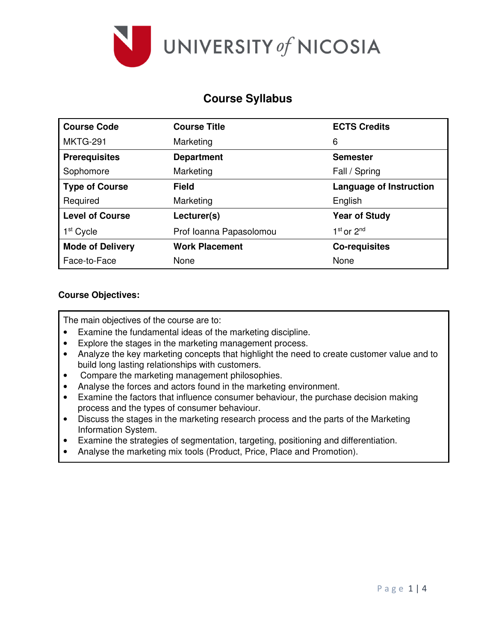

# **Course Syllabus**

| <b>Course Code</b>      | <b>Course Title</b>     | <b>ECTS Credits</b>                |  |  |
|-------------------------|-------------------------|------------------------------------|--|--|
| <b>MKTG-291</b>         | Marketing               | 6                                  |  |  |
| <b>Prerequisites</b>    | <b>Department</b>       | <b>Semester</b>                    |  |  |
| Sophomore               | Marketing               | Fall / Spring                      |  |  |
| <b>Type of Course</b>   | <b>Field</b>            | <b>Language of Instruction</b>     |  |  |
| Required                | Marketing               | English                            |  |  |
| <b>Level of Course</b>  | Lecturer(s)             | <b>Year of Study</b>               |  |  |
| 1 <sup>st</sup> Cycle   | Prof Ioanna Papasolomou | 1 <sup>st</sup> or 2 <sup>nd</sup> |  |  |
| <b>Mode of Delivery</b> | <b>Work Placement</b>   | <b>Co-requisites</b>               |  |  |
| Face-to-Face            | None                    | None                               |  |  |

## **Course Objectives:**

The main objectives of the course are to:

- Examine the fundamental ideas of the marketing discipline.
- Explore the stages in the marketing management process.
- Analyze the key marketing concepts that highlight the need to create customer value and to build long lasting relationships with customers.
- Compare the marketing management philosophies.
- Analyse the forces and actors found in the marketing environment.
- Examine the factors that influence consumer behaviour, the purchase decision making process and the types of consumer behaviour.
- Discuss the stages in the marketing research process and the parts of the Marketing Information System.
- Examine the strategies of segmentation, targeting, positioning and differentiation.
- Analyse the marketing mix tools (Product, Price, Place and Promotion).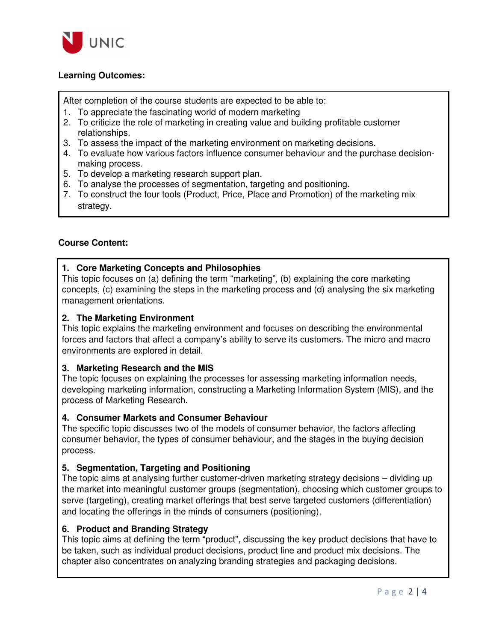

## **Learning Outcomes:**

After completion of the course students are expected to be able to:

- 1. To appreciate the fascinating world of modern marketing
- 2. To criticize the role of marketing in creating value and building profitable customer relationships.
- 3. To assess the impact of the marketing environment on marketing decisions.
- 4. To evaluate how various factors influence consumer behaviour and the purchase decisionmaking process.
- 5. To develop a marketing research support plan.
- 6. To analyse the processes of segmentation, targeting and positioning.
- 7. To construct the four tools (Product, Price, Place and Promotion) of the marketing mix strategy.

## **Course Content:**

## **1. Core Marketing Concepts and Philosophies**

This topic focuses on (a) defining the term "marketing", (b) explaining the core marketing concepts, (c) examining the steps in the marketing process and (d) analysing the six marketing management orientations.

## **2. The Marketing Environment**

This topic explains the marketing environment and focuses on describing the environmental forces and factors that affect a company's ability to serve its customers. The micro and macro environments are explored in detail.

### **3. Marketing Research and the MIS**

The topic focuses on explaining the processes for assessing marketing information needs, developing marketing information, constructing a Marketing Information System (MIS), and the process of Marketing Research.

### **4. Consumer Markets and Consumer Behaviour**

The specific topic discusses two of the models of consumer behavior, the factors affecting consumer behavior, the types of consumer behaviour, and the stages in the buying decision process.

## **5. Segmentation, Targeting and Positioning**

The topic aims at analysing further customer-driven marketing strategy decisions – dividing up the market into meaningful customer groups (segmentation), choosing which customer groups to serve (targeting), creating market offerings that best serve targeted customers (differentiation) and locating the offerings in the minds of consumers (positioning).

## **6. Product and Branding Strategy**

This topic aims at defining the term "product", discussing the key product decisions that have to be taken, such as individual product decisions, product line and product mix decisions. The chapter also concentrates on analyzing branding strategies and packaging decisions.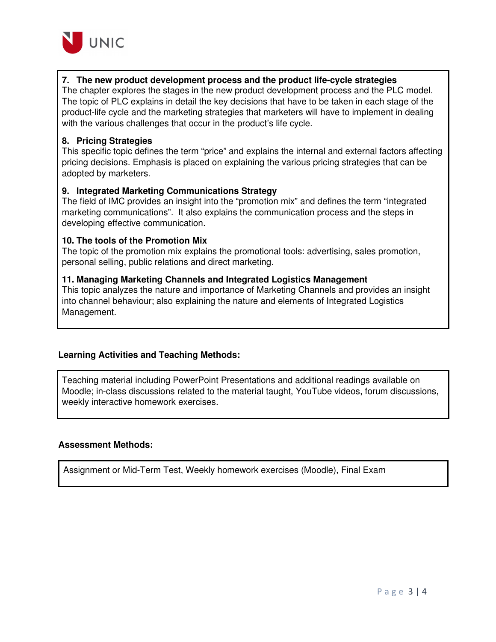

## **7. The new product development process and the product life-cycle strategies**

The chapter explores the stages in the new product development process and the PLC model. The topic of PLC explains in detail the key decisions that have to be taken in each stage of the product-life cycle and the marketing strategies that marketers will have to implement in dealing with the various challenges that occur in the product's life cycle.

### **8. Pricing Strategies**

This specific topic defines the term "price" and explains the internal and external factors affecting pricing decisions. Emphasis is placed on explaining the various pricing strategies that can be adopted by marketers.

#### **9. Integrated Marketing Communications Strategy**

The field of IMC provides an insight into the "promotion mix" and defines the term "integrated marketing communications". It also explains the communication process and the steps in developing effective communication.

#### **10. The tools of the Promotion Mix**

The topic of the promotion mix explains the promotional tools: advertising, sales promotion, personal selling, public relations and direct marketing.

#### **11. Managing Marketing Channels and Integrated Logistics Management**

This topic analyzes the nature and importance of Marketing Channels and provides an insight into channel behaviour; also explaining the nature and elements of Integrated Logistics Management.

### **Learning Activities and Teaching Methods:**

Teaching material including PowerPoint Presentations and additional readings available on Moodle; in-class discussions related to the material taught, YouTube videos, forum discussions, weekly interactive homework exercises.

### **Assessment Methods:**

Assignment or Mid-Term Test, Weekly homework exercises (Moodle), Final Exam